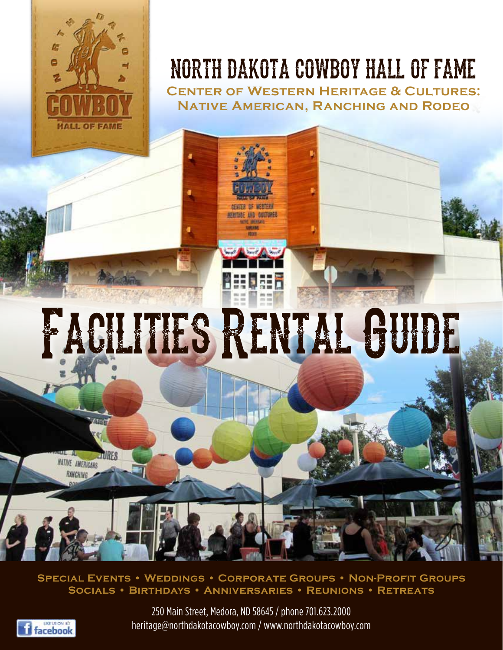

# NORTH DAKOTA COWBOY HALL OF FAME

**Center of Western Heritage & Cultures: Native American, Ranching and Rodeo**

# Facilities Rental Guide

**THRES NATIVE AMERICANS RANCHING** 

**Special Events • Weddings • Corporate Groups • Non-Profit Groups Socials • Birthdays • Anniversaries • Reunions • Retreats**



250 Main Street, Medora, ND 58645 / phone 701.623.2000 heritage@northdakotacowboy.com / www.northdakotacowboy.com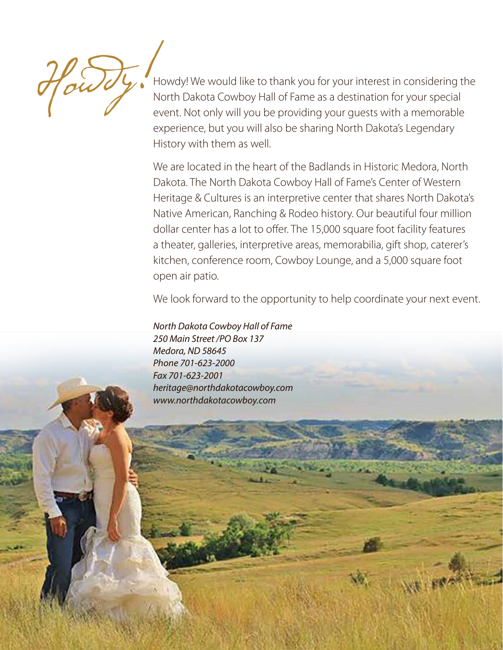

Howdy! We would like to thank you for your interest in considering the North Dakota Cowboy Hall of Fame as a destination for your special event. Not only will you be providing your guests with a memorable experience, but you will also be sharing North Dakota's Legendary History with them as well.

We are located in the heart of the Badlands in Historic Medora, North Dakota. The North Dakota Cowboy Hall of Fame's Center of Western Heritage & Cultures is an interpretive center that shares North Dakota's Native American, Ranching & Rodeo history. Our beautiful four million dollar center has a lot to offer. The 15,000 square foot facility features a theater, galleries, interpretive areas, memorabilia, gift shop, caterer's kitchen, conference room, Cowboy Lounge, and a 5,000 square foot open air patio.

We look forward to the opportunity to help coordinate your next event.

*North Dakota Cowboy Hall of Fame 250 Main Street /PO Box 137 Medora, ND 58645 Phone 701-623-2000 Fax 701-623-2001 heritage@northdakotacowboy.com www.northdakotacowboy.com*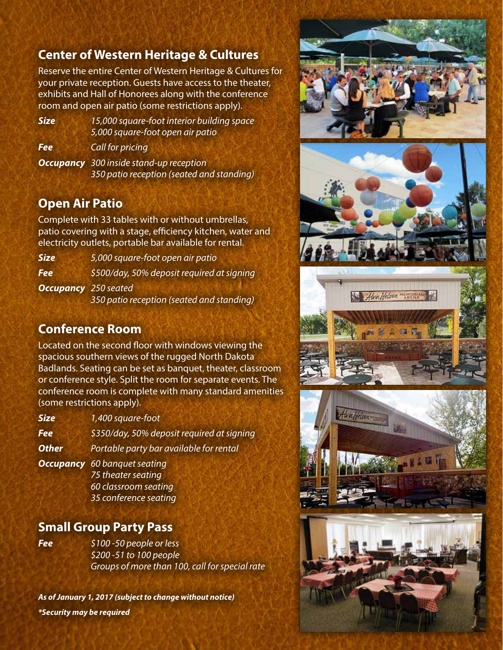# **Center of Western Heritage & Cultures**

Reserve the entire Center of Western Heritage & Cultures for your private reception. Guests have access to the theater, exhibits and Hall of Honorees along with the conference room and open air patio (some restrictions apply).

*Size 15,000 square-foot interior building space 5,000 square-foot open air patio*

*Fee Call for pricing*

*Occupancy 300 inside stand-up reception 350 patio reception (seated and standing)*

### **Open Air Patio**

Complete with 33 tables with or without umbrellas, patio covering with a stage, efficiency kitchen, water and electricity outlets, portable bar available for rental.

*Size 5,000 square-foot open air patio Fee \$500/day, 50% deposit required at signing Occupancy 250 seated 350 patio reception (seated and standing)*

## **Conference Room**

Located on the second floor with windows viewing the spacious southern views of the rugged North Dakota Badlands. Seating can be set as banquet, theater, classroom or conference style. Split the room for separate events. The conference room is complete with many standard amenities (some restrictions apply).

*Size 1,400 square-foot Fee \$350/day, 50% deposit required at signing*

*Other Portable party bar available for rental*

*Occupancy 60 banquet seating 75 theater seating 60 classroom seating 35 conference seating*

## **Small Group Party Pass**

*Fee \$100 -50 people or less \$200 -51 to 100 people Groups of more than 100, call for special rate*

*As of January 1, 2017 (subject to change without notice) \*Security may be required*